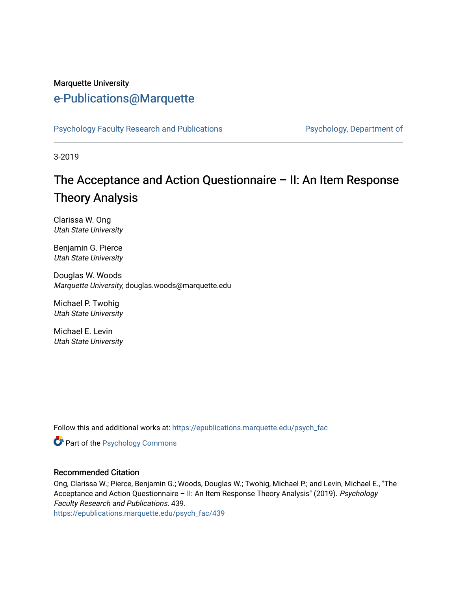#### Marquette University

# [e-Publications@Marquette](https://epublications.marquette.edu/)

[Psychology Faculty Research and Publications](https://epublications.marquette.edu/psych_fac) **Properties Psychology, Department of** 

3-2019

# The Acceptance and Action Questionnaire – II: An Item Response Theory Analysis

Clarissa W. Ong Utah State University

Benjamin G. Pierce Utah State University

Douglas W. Woods Marquette University, douglas.woods@marquette.edu

Michael P. Twohig Utah State University

Michael E. Levin Utah State University

Follow this and additional works at: [https://epublications.marquette.edu/psych\\_fac](https://epublications.marquette.edu/psych_fac?utm_source=epublications.marquette.edu%2Fpsych_fac%2F439&utm_medium=PDF&utm_campaign=PDFCoverPages)

**Part of the Psychology Commons** 

#### Recommended Citation

Ong, Clarissa W.; Pierce, Benjamin G.; Woods, Douglas W.; Twohig, Michael P.; and Levin, Michael E., "The Acceptance and Action Questionnaire - II: An Item Response Theory Analysis" (2019). Psychology Faculty Research and Publications. 439.

[https://epublications.marquette.edu/psych\\_fac/439](https://epublications.marquette.edu/psych_fac/439?utm_source=epublications.marquette.edu%2Fpsych_fac%2F439&utm_medium=PDF&utm_campaign=PDFCoverPages)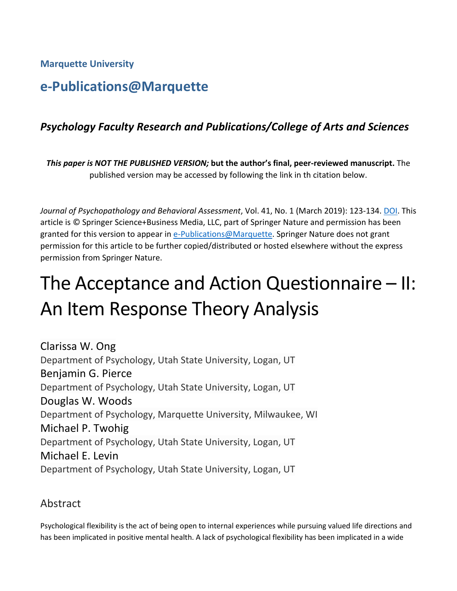**Marquette University**

# **e-Publications@Marquette**

# *Psychology Faculty Research and Publications/College of Arts and Sciences*

*This paper is NOT THE PUBLISHED VERSION;* **but the author's final, peer-reviewed manuscript.** The published version may be accessed by following the link in th citation below.

*Journal of Psychopathology and Behavioral Assessment*, Vol. 41, No. 1 (March 2019): 123-134. [DOI.](https://doi.org/10.1007/s10862-018-9694-2) This article is © Springer Science+Business Media, LLC, part of Springer Nature and permission has been granted for this version to appear in [e-Publications@Marquette.](http://epublications.marquette.edu/) Springer Nature does not grant permission for this article to be further copied/distributed or hosted elsewhere without the express permission from Springer Nature.

# The Acceptance and Action Questionnaire – II: An Item Response Theory Analysis

Clarissa W. Ong Department of Psychology, Utah State University, Logan, UT Benjamin G. Pierce Department of Psychology, Utah State University, Logan, UT Douglas W. Woods Department of Psychology, Marquette University, Milwaukee, WI Michael P. Twohig Department of Psychology, Utah State University, Logan, UT Michael E. Levin Department of Psychology, Utah State University, Logan, UT

# Abstract

Psychological flexibility is the act of being open to internal experiences while pursuing valued life directions and has been implicated in positive mental health. A lack of psychological flexibility has been implicated in a wide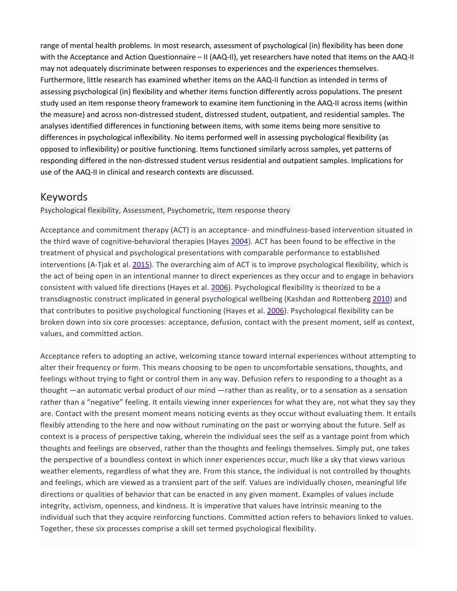range of mental health problems. In most research, assessment of psychological (in) flexibility has been done with the Acceptance and Action Questionnaire – II (AAQ-II), yet researchers have noted that items on the AAQ-II may not adequately discriminate between responses to experiences and the experiences themselves. Furthermore, little research has examined whether items on the AAQ-II function as intended in terms of assessing psychological (in) flexibility and whether items function differently across populations. The present study used an item response theory framework to examine item functioning in the AAQ-II across items (within the measure) and across non-distressed student, distressed student, outpatient, and residential samples. The analyses identified differences in functioning between items, with some items being more sensitive to differences in psychological inflexibility. No items performed well in assessing psychological flexibility (as opposed to inflexibility) or positive functioning. Items functioned similarly across samples, yet patterns of responding differed in the non-distressed student versus residential and outpatient samples. Implications for use of the AAQ-II in clinical and research contexts are discussed.

## Keywords

Psychological flexibility, Assessment, Psychometric, Item response theory

Acceptance and commitment therapy (ACT) is an acceptance- and mindfulness-based intervention situated in the third wave of cognitive-behavioral therapies (Hayes [2004\)](https://link.springer.com/article/10.1007%2Fs10862-018-9694-2#CR11). ACT has been found to be effective in the treatment of physical and psychological presentations with comparable performance to established interventions (A-Tjak et al. [2015\)](https://link.springer.com/article/10.1007%2Fs10862-018-9694-2#CR1). The overarching aim of ACT is to improve psychological flexibility, which is the act of being open in an intentional manner to direct experiences as they occur and to engage in behaviors consistent with valued life directions (Hayes et al. [2006\)](https://link.springer.com/article/10.1007%2Fs10862-018-9694-2#CR13). Psychological flexibility is theorized to be a transdiagnostic construct implicated in general psychological wellbeing (Kashdan and Rottenberg [2010\)](https://link.springer.com/article/10.1007%2Fs10862-018-9694-2#CR18) and that contributes to positive psychological functioning (Hayes et al. [2006\)](https://link.springer.com/article/10.1007%2Fs10862-018-9694-2#CR13). Psychological flexibility can be broken down into six core processes: acceptance, defusion, contact with the present moment, self as context, values, and committed action.

Acceptance refers to adopting an active, welcoming stance toward internal experiences without attempting to alter their frequency or form. This means choosing to be open to uncomfortable sensations, thoughts, and feelings without trying to fight or control them in any way. Defusion refers to responding to a thought as a thought —an automatic verbal product of our mind —rather than as reality, or to a sensation as a sensation rather than a "negative" feeling. It entails viewing inner experiences for what they are, not what they say they are. Contact with the present moment means noticing events as they occur without evaluating them. It entails flexibly attending to the here and now without ruminating on the past or worrying about the future. Self as context is a process of perspective taking, wherein the individual sees the self as a vantage point from which thoughts and feelings are observed, rather than the thoughts and feelings themselves. Simply put, one takes the perspective of a boundless context in which inner experiences occur, much like a sky that views various weather elements, regardless of what they are. From this stance, the individual is not controlled by thoughts and feelings, which are viewed as a transient part of the self. Values are individually chosen, meaningful life directions or qualities of behavior that can be enacted in any given moment. Examples of values include integrity, activism, openness, and kindness. It is imperative that values have intrinsic meaning to the individual such that they acquire reinforcing functions. Committed action refers to behaviors linked to values. Together, these six processes comprise a skill set termed psychological flexibility.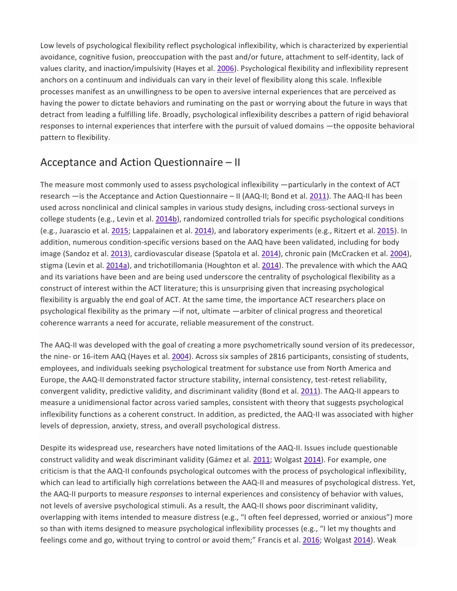Low levels of psychological flexibility reflect psychological inflexibility, which is characterized by experiential avoidance, cognitive fusion, preoccupation with the past and/or future, attachment to self-identity, lack of values clarity, and inaction/impulsivity (Hayes et al. [2006\)](https://link.springer.com/article/10.1007%2Fs10862-018-9694-2#CR13). Psychological flexibility and inflexibility represent anchors on a continuum and individuals can vary in their level of flexibility along this scale. Inflexible processes manifest as an unwillingness to be open to aversive internal experiences that are perceived as having the power to dictate behaviors and ruminating on the past or worrying about the future in ways that detract from leading a fulfilling life. Broadly, psychological inflexibility describes a pattern of rigid behavioral responses to internal experiences that interfere with the pursuit of valued domains —the opposite behavioral pattern to flexibility.

## Acceptance and Action Questionnaire – II

The measure most commonly used to assess psychological inflexibility —particularly in the context of ACT research —is the Acceptance and Action Questionnaire – II (AAQ-II; Bond et al. [2011\)](https://link.springer.com/article/10.1007%2Fs10862-018-9694-2#CR2). The AAQ-II has been used across nonclinical and clinical samples in various study designs, including cross-sectional surveys in college students (e.g., Levin et al. [2014b\)](https://link.springer.com/article/10.1007%2Fs10862-018-9694-2#CR22), randomized controlled trials for specific psychological conditions (e.g., Juarascio et al. [2015;](https://link.springer.com/article/10.1007%2Fs10862-018-9694-2#CR16) Lappalainen et al. [2014\)](https://link.springer.com/article/10.1007%2Fs10862-018-9694-2#CR19), and laboratory experiments (e.g., Ritzert et al. [2015\)](https://link.springer.com/article/10.1007%2Fs10862-018-9694-2#CR25). In addition, numerous condition-specific versions based on the AAQ have been validated, including for body image (Sandoz et al. [2013\)](https://link.springer.com/article/10.1007%2Fs10862-018-9694-2#CR27), cardiovascular disease (Spatola et al. [2014\)](https://link.springer.com/article/10.1007%2Fs10862-018-9694-2#CR28), chronic pain (McCracken et al. [2004\)](https://link.springer.com/article/10.1007%2Fs10862-018-9694-2#CR24), stigma (Levin et al. [2014a\)](https://link.springer.com/article/10.1007%2Fs10862-018-9694-2#CR21), and trichotillomania (Houghton et al. [2014\)](https://link.springer.com/article/10.1007%2Fs10862-018-9694-2#CR15). The prevalence with which the AAQ and its variations have been and are being used underscore the centrality of psychological flexibility as a construct of interest within the ACT literature; this is unsurprising given that increasing psychological flexibility is arguably the end goal of ACT. At the same time, the importance ACT researchers place on psychological flexibility as the primary —if not, ultimate —arbiter of clinical progress and theoretical coherence warrants a need for accurate, reliable measurement of the construct.

The AAQ-II was developed with the goal of creating a more psychometrically sound version of its predecessor, the nine- or 16-item AAQ (Hayes et al. [2004\)](https://link.springer.com/article/10.1007%2Fs10862-018-9694-2#CR12). Across six samples of 2816 participants, consisting of students, employees, and individuals seeking psychological treatment for substance use from North America and Europe, the AAQ-II demonstrated factor structure stability, internal consistency, test-retest reliability, convergent validity, predictive validity, and discriminant validity (Bond et al. [2011\)](https://link.springer.com/article/10.1007%2Fs10862-018-9694-2#CR2). The AAQ-II appears to measure a unidimensional factor across varied samples, consistent with theory that suggests psychological inflexibility functions as a coherent construct. In addition, as predicted, the AAQ-II was associated with higher levels of depression, anxiety, stress, and overall psychological distress.

Despite its widespread use, researchers have noted limitations of the AAQ-II. Issues include questionable construct validity and weak discriminant validity (Gámez et al. [2011;](https://link.springer.com/article/10.1007%2Fs10862-018-9694-2#CR7) Wolgast [2014\)](https://link.springer.com/article/10.1007%2Fs10862-018-9694-2#CR29). For example, one criticism is that the AAQ-II confounds psychological outcomes with the process of psychological inflexibility, which can lead to artificially high correlations between the AAQ-II and measures of psychological distress. Yet, the AAQ-II purports to measure *responses* to internal experiences and consistency of behavior with values, not levels of aversive psychological stimuli. As a result, the AAQ-II shows poor discriminant validity, overlapping with items intended to measure distress (e.g., "I often feel depressed, worried or anxious") more so than with items designed to measure psychological inflexibility processes (e.g., "I let my thoughts and feelings come and go, without trying to control or avoid them;" Francis et al. [2016;](https://link.springer.com/article/10.1007%2Fs10862-018-9694-2#CR6) Wolgast [2014\)](https://link.springer.com/article/10.1007%2Fs10862-018-9694-2#CR29). Weak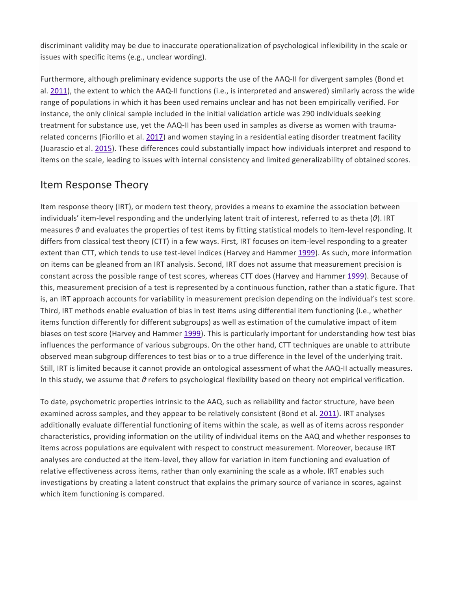discriminant validity may be due to inaccurate operationalization of psychological inflexibility in the scale or issues with specific items (e.g., unclear wording).

Furthermore, although preliminary evidence supports the use of the AAQ-II for divergent samples (Bond et al. [2011\)](https://link.springer.com/article/10.1007%2Fs10862-018-9694-2#CR2), the extent to which the AAQ-II functions (i.e., is interpreted and answered) similarly across the wide range of populations in which it has been used remains unclear and has not been empirically verified. For instance, the only clinical sample included in the initial validation article was 290 individuals seeking treatment for substance use, yet the AAQ-II has been used in samples as diverse as women with traumarelated concerns (Fiorillo et al. [2017\)](https://link.springer.com/article/10.1007%2Fs10862-018-9694-2#CR4) and women staying in a residential eating disorder treatment facility (Juarascio et al. [2015\)](https://link.springer.com/article/10.1007%2Fs10862-018-9694-2#CR16). These differences could substantially impact how individuals interpret and respond to items on the scale, leading to issues with internal consistency and limited generalizability of obtained scores.

## Item Response Theory

Item response theory (IRT), or modern test theory, provides a means to examine the association between individuals' item-level responding and the underlying latent trait of interest, referred to as theta (*θ*). IRT measures *θ* and evaluates the properties of test items by fitting statistical models to item-level responding. It differs from classical test theory (CTT) in a few ways. First, IRT focuses on item-level responding to a greater extent than CTT, which tends to use test-level indices (Harvey and Hammer [1999\)](https://link.springer.com/article/10.1007%2Fs10862-018-9694-2#CR10). As such, more information on items can be gleaned from an IRT analysis. Second, IRT does not assume that measurement precision is constant across the possible range of test scores, whereas CTT does (Harvey and Hammer [1999\)](https://link.springer.com/article/10.1007%2Fs10862-018-9694-2#CR10). Because of this, measurement precision of a test is represented by a continuous function, rather than a static figure. That is, an IRT approach accounts for variability in measurement precision depending on the individual's test score. Third, IRT methods enable evaluation of bias in test items using differential item functioning (i.e., whether items function differently for different subgroups) as well as estimation of the cumulative impact of item biases on test score (Harvey and Hammer [1999\)](https://link.springer.com/article/10.1007%2Fs10862-018-9694-2#CR10). This is particularly important for understanding how test bias influences the performance of various subgroups. On the other hand, CTT techniques are unable to attribute observed mean subgroup differences to test bias or to a true difference in the level of the underlying trait. Still, IRT is limited because it cannot provide an ontological assessment of what the AAQ-II actually measures. In this study, we assume that *θ* refers to psychological flexibility based on theory not empirical verification.

To date, psychometric properties intrinsic to the AAQ, such as reliability and factor structure, have been examined across samples, and they appear to be relatively consistent (Bond et al. [2011\)](https://link.springer.com/article/10.1007%2Fs10862-018-9694-2#CR2). IRT analyses additionally evaluate differential functioning of items within the scale, as well as of items across responder characteristics, providing information on the utility of individual items on the AAQ and whether responses to items across populations are equivalent with respect to construct measurement. Moreover, because IRT analyses are conducted at the item-level, they allow for variation in item functioning and evaluation of relative effectiveness across items, rather than only examining the scale as a whole. IRT enables such investigations by creating a latent construct that explains the primary source of variance in scores, against which item functioning is compared.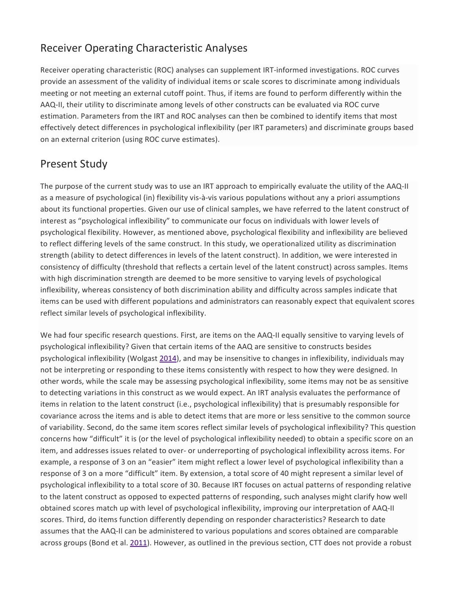# Receiver Operating Characteristic Analyses

Receiver operating characteristic (ROC) analyses can supplement IRT-informed investigations. ROC curves provide an assessment of the validity of individual items or scale scores to discriminate among individuals meeting or not meeting an external cutoff point. Thus, if items are found to perform differently within the AAQ-II, their utility to discriminate among levels of other constructs can be evaluated via ROC curve estimation. Parameters from the IRT and ROC analyses can then be combined to identify items that most effectively detect differences in psychological inflexibility (per IRT parameters) and discriminate groups based on an external criterion (using ROC curve estimates).

# Present Study

The purpose of the current study was to use an IRT approach to empirically evaluate the utility of the AAQ-II as a measure of psychological (in) flexibility vis-à-vis various populations without any a priori assumptions about its functional properties. Given our use of clinical samples, we have referred to the latent construct of interest as "psychological inflexibility" to communicate our focus on individuals with lower levels of psychological flexibility. However, as mentioned above, psychological flexibility and inflexibility are believed to reflect differing levels of the same construct. In this study, we operationalized utility as discrimination strength (ability to detect differences in levels of the latent construct). In addition, we were interested in consistency of difficulty (threshold that reflects a certain level of the latent construct) across samples. Items with high discrimination strength are deemed to be more sensitive to varying levels of psychological inflexibility, whereas consistency of both discrimination ability and difficulty across samples indicate that items can be used with different populations and administrators can reasonably expect that equivalent scores reflect similar levels of psychological inflexibility.

We had four specific research questions. First, are items on the AAQ-II equally sensitive to varying levels of psychological inflexibility? Given that certain items of the AAQ are sensitive to constructs besides psychological inflexibility (Wolgast [2014\)](https://link.springer.com/article/10.1007%2Fs10862-018-9694-2#CR29), and may be insensitive to changes in inflexibility, individuals may not be interpreting or responding to these items consistently with respect to how they were designed. In other words, while the scale may be assessing psychological inflexibility, some items may not be as sensitive to detecting variations in this construct as we would expect. An IRT analysis evaluates the performance of items in relation to the latent construct (i.e., psychological inflexibility) that is presumably responsible for covariance across the items and is able to detect items that are more or less sensitive to the common source of variability. Second, do the same item scores reflect similar levels of psychological inflexibility? This question concerns how "difficult" it is (or the level of psychological inflexibility needed) to obtain a specific score on an item, and addresses issues related to over- or underreporting of psychological inflexibility across items. For example, a response of 3 on an "easier" item might reflect a lower level of psychological inflexibility than a response of 3 on a more "difficult" item. By extension, a total score of 40 might represent a similar level of psychological inflexibility to a total score of 30. Because IRT focuses on actual patterns of responding relative to the latent construct as opposed to expected patterns of responding, such analyses might clarify how well obtained scores match up with level of psychological inflexibility, improving our interpretation of AAQ-II scores. Third, do items function differently depending on responder characteristics? Research to date assumes that the AAQ-II can be administered to various populations and scores obtained are comparable across groups (Bond et al. [2011\)](https://link.springer.com/article/10.1007%2Fs10862-018-9694-2#CR2). However, as outlined in the previous section, CTT does not provide a robust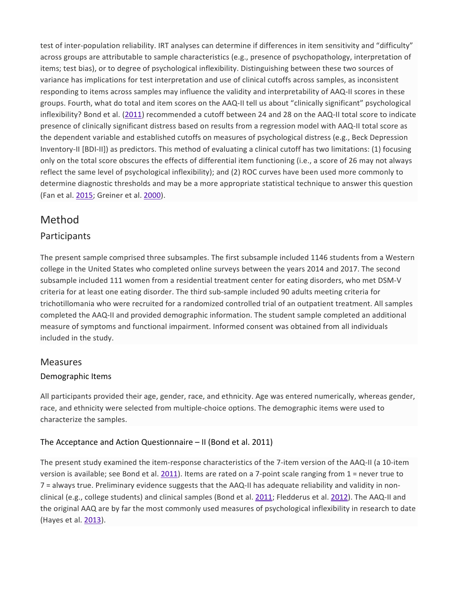test of inter-population reliability. IRT analyses can determine if differences in item sensitivity and "difficulty" across groups are attributable to sample characteristics (e.g., presence of psychopathology, interpretation of items; test bias), or to degree of psychological inflexibility. Distinguishing between these two sources of variance has implications for test interpretation and use of clinical cutoffs across samples, as inconsistent responding to items across samples may influence the validity and interpretability of AAQ-II scores in these groups. Fourth, what do total and item scores on the AAQ-II tell us about "clinically significant" psychological inflexibility? Bond et al. [\(2011\)](https://link.springer.com/article/10.1007%2Fs10862-018-9694-2#CR2) recommended a cutoff between 24 and 28 on the AAQ-II total score to indicate presence of clinically significant distress based on results from a regression model with AAQ-II total score as the dependent variable and established cutoffs on measures of psychological distress (e.g., Beck Depression Inventory-II [BDI-II]) as predictors. This method of evaluating a clinical cutoff has two limitations: (1) focusing only on the total score obscures the effects of differential item functioning (i.e., a score of 26 may not always reflect the same level of psychological inflexibility); and (2) ROC curves have been used more commonly to determine diagnostic thresholds and may be a more appropriate statistical technique to answer this question (Fan et al. [2015;](https://link.springer.com/article/10.1007%2Fs10862-018-9694-2#CR3) Greiner et al. [2000\)](https://link.springer.com/article/10.1007%2Fs10862-018-9694-2#CR9).

# Method

## Participants

The present sample comprised three subsamples. The first subsample included 1146 students from a Western college in the United States who completed online surveys between the years 2014 and 2017. The second subsample included 111 women from a residential treatment center for eating disorders, who met DSM-V criteria for at least one eating disorder. The third sub-sample included 90 adults meeting criteria for trichotillomania who were recruited for a randomized controlled trial of an outpatient treatment. All samples completed the AAQ-II and provided demographic information. The student sample completed an additional measure of symptoms and functional impairment. Informed consent was obtained from all individuals included in the study.

#### Measures

#### Demographic Items

All participants provided their age, gender, race, and ethnicity. Age was entered numerically, whereas gender, race, and ethnicity were selected from multiple-choice options. The demographic items were used to characterize the samples.

#### The Acceptance and Action Questionnaire – II (Bond et al. [2011\)](https://link.springer.com/article/10.1007%2Fs10862-018-9694-2#CR2)

The present study examined the item-response characteristics of the 7-item version of the AAQ-II (a 10-item version is available; see Bond et al. [2011\)](https://link.springer.com/article/10.1007%2Fs10862-018-9694-2#CR2). Items are rated on a 7-point scale ranging from 1 = never true to 7 = always true. Preliminary evidence suggests that the AAQ-II has adequate reliability and validity in nonclinical (e.g., college students) and clinical samples (Bond et al. [2011;](https://link.springer.com/article/10.1007%2Fs10862-018-9694-2#CR2) Fledderus et al. [2012\)](https://link.springer.com/article/10.1007%2Fs10862-018-9694-2#CR5). The AAQ-II and the original AAQ are by far the most commonly used measures of psychological inflexibility in research to date (Hayes et al. [2013\)](https://link.springer.com/article/10.1007%2Fs10862-018-9694-2#CR14).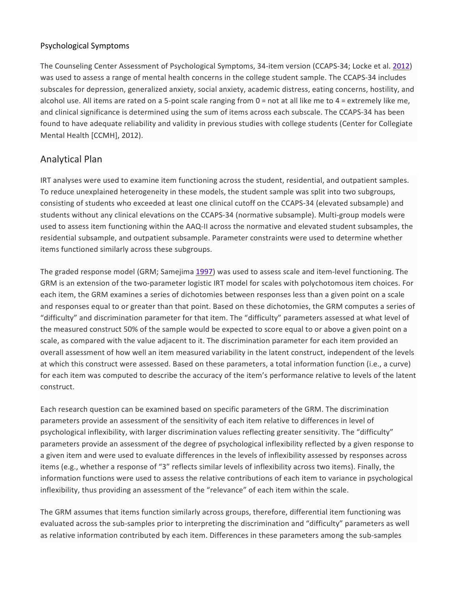#### Psychological Symptoms

The Counseling Center Assessment of Psychological Symptoms, 34-item version (CCAPS-34; Locke et al. [2012\)](https://link.springer.com/article/10.1007%2Fs10862-018-9694-2#CR23) was used to assess a range of mental health concerns in the college student sample. The CCAPS-34 includes subscales for depression, generalized anxiety, social anxiety, academic distress, eating concerns, hostility, and alcohol use. All items are rated on a 5-point scale ranging from 0 = not at all like me to 4 = extremely like me, and clinical significance is determined using the sum of items across each subscale. The CCAPS-34 has been found to have adequate reliability and validity in previous studies with college students (Center for Collegiate Mental Health [CCMH], 2012).

## Analytical Plan

IRT analyses were used to examine item functioning across the student, residential, and outpatient samples. To reduce unexplained heterogeneity in these models, the student sample was split into two subgroups, consisting of students who exceeded at least one clinical cutoff on the CCAPS-34 (elevated subsample) and students without any clinical elevations on the CCAPS-34 (normative subsample). Multi-group models were used to assess item functioning within the AAQ-II across the normative and elevated student subsamples, the residential subsample, and outpatient subsample. Parameter constraints were used to determine whether items functioned similarly across these subgroups.

The graded response model (GRM; Samejima [1997\)](https://link.springer.com/article/10.1007%2Fs10862-018-9694-2#CR26) was used to assess scale and item-level functioning. The GRM is an extension of the two-parameter logistic IRT model for scales with polychotomous item choices. For each item, the GRM examines a series of dichotomies between responses less than a given point on a scale and responses equal to or greater than that point. Based on these dichotomies, the GRM computes a series of "difficulty" and discrimination parameter for that item. The "difficulty" parameters assessed at what level of the measured construct 50% of the sample would be expected to score equal to or above a given point on a scale, as compared with the value adjacent to it. The discrimination parameter for each item provided an overall assessment of how well an item measured variability in the latent construct, independent of the levels at which this construct were assessed. Based on these parameters, a total information function (i.e., a curve) for each item was computed to describe the accuracy of the item's performance relative to levels of the latent construct.

Each research question can be examined based on specific parameters of the GRM. The discrimination parameters provide an assessment of the sensitivity of each item relative to differences in level of psychological inflexibility, with larger discrimination values reflecting greater sensitivity. The "difficulty" parameters provide an assessment of the degree of psychological inflexibility reflected by a given response to a given item and were used to evaluate differences in the levels of inflexibility assessed by responses across items (e.g., whether a response of "3" reflects similar levels of inflexibility across two items). Finally, the information functions were used to assess the relative contributions of each item to variance in psychological inflexibility, thus providing an assessment of the "relevance" of each item within the scale.

The GRM assumes that items function similarly across groups, therefore, differential item functioning was evaluated across the sub-samples prior to interpreting the discrimination and "difficulty" parameters as well as relative information contributed by each item. Differences in these parameters among the sub-samples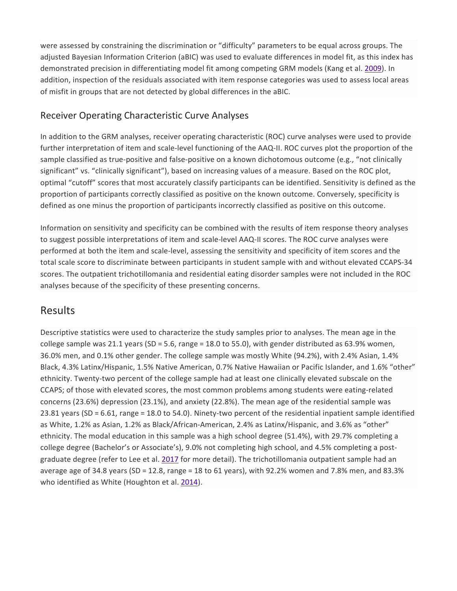were assessed by constraining the discrimination or "difficulty" parameters to be equal across groups. The adjusted Bayesian Information Criterion (aBIC) was used to evaluate differences in model fit, as this index has demonstrated precision in differentiating model fit among competing GRM models (Kang et al. [2009\)](https://link.springer.com/article/10.1007%2Fs10862-018-9694-2#CR17). In addition, inspection of the residuals associated with item response categories was used to assess local areas of misfit in groups that are not detected by global differences in the aBIC.

## Receiver Operating Characteristic Curve Analyses

In addition to the GRM analyses, receiver operating characteristic (ROC) curve analyses were used to provide further interpretation of item and scale-level functioning of the AAQ-II. ROC curves plot the proportion of the sample classified as true-positive and false-positive on a known dichotomous outcome (e.g., "not clinically significant" vs. "clinically significant"), based on increasing values of a measure. Based on the ROC plot, optimal "cutoff" scores that most accurately classify participants can be identified. Sensitivity is defined as the proportion of participants correctly classified as positive on the known outcome. Conversely, specificity is defined as one minus the proportion of participants incorrectly classified as positive on this outcome.

Information on sensitivity and specificity can be combined with the results of item response theory analyses to suggest possible interpretations of item and scale-level AAQ-II scores. The ROC curve analyses were performed at both the item and scale-level, assessing the sensitivity and specificity of item scores and the total scale score to discriminate between participants in student sample with and without elevated CCAPS-34 scores. The outpatient trichotillomania and residential eating disorder samples were not included in the ROC analyses because of the specificity of these presenting concerns.

## Results

Descriptive statistics were used to characterize the study samples prior to analyses. The mean age in the college sample was 21.1 years (SD = 5.6, range = 18.0 to 55.0), with gender distributed as 63.9% women, 36.0% men, and 0.1% other gender. The college sample was mostly White (94.2%), with 2.4% Asian, 1.4% Black, 4.3% Latinx/Hispanic, 1.5% Native American, 0.7% Native Hawaiian or Pacific Islander, and 1.6% "other" ethnicity. Twenty-two percent of the college sample had at least one clinically elevated subscale on the CCAPS; of those with elevated scores, the most common problems among students were eating-related concerns (23.6%) depression (23.1%), and anxiety (22.8%). The mean age of the residential sample was 23.81 years (SD = 6.61, range = 18.0 to 54.0). Ninety-two percent of the residential inpatient sample identified as White, 1.2% as Asian, 1.2% as Black/African-American, 2.4% as Latinx/Hispanic, and 3.6% as "other" ethnicity. The modal education in this sample was a high school degree (51.4%), with 29.7% completing a college degree (Bachelor's or Associate's), 9.0% not completing high school, and 4.5% completing a postgraduate degree (refer to Lee et al. [2017](https://link.springer.com/article/10.1007%2Fs10862-018-9694-2#CR20) for more detail). The trichotillomania outpatient sample had an average age of 34.8 years (SD = 12.8, range = 18 to 61 years), with 92.2% women and 7.8% men, and 83.3% who identified as White (Houghton et al. [2014\)](https://link.springer.com/article/10.1007%2Fs10862-018-9694-2#CR15).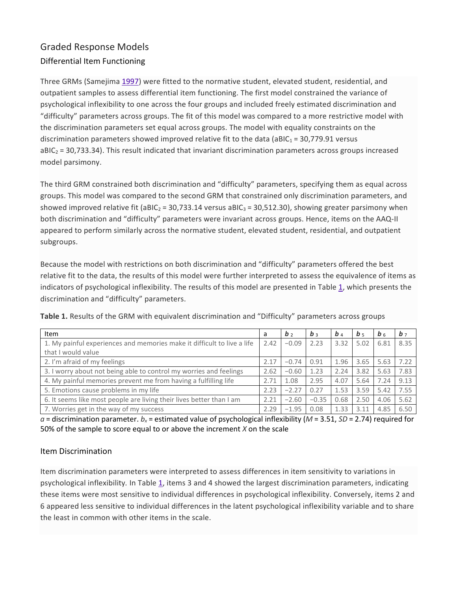# Graded Response Models Differential Item Functioning

Three GRMs (Samejima [1997\)](https://link.springer.com/article/10.1007%2Fs10862-018-9694-2#CR26) were fitted to the normative student, elevated student, residential, and outpatient samples to assess differential item functioning. The first model constrained the variance of psychological inflexibility to one across the four groups and included freely estimated discrimination and "difficulty" parameters across groups. The fit of this model was compared to a more restrictive model with the discrimination parameters set equal across groups. The model with equality constraints on the discrimination parameters showed improved relative fit to the data (aBIC<sub>1</sub> = 30,779.91 versus  $aBIC<sub>2</sub> = 30,733.34$ ). This result indicated that invariant discrimination parameters across groups increased model parsimony.

The third GRM constrained both discrimination and "difficulty" parameters, specifying them as equal across groups. This model was compared to the second GRM that constrained only discrimination parameters, and showed improved relative fit (aBIC<sub>2</sub> = 30,733.14 versus aBIC<sub>3</sub> = 30,512.30), showing greater parsimony when both discrimination and "difficulty" parameters were invariant across groups. Hence, items on the AAQ-II appeared to perform similarly across the normative student, elevated student, residential, and outpatient subgroups.

Because the model with restrictions on both discrimination and "difficulty" parameters offered the best relative fit to the data, the results of this model were further interpreted to assess the equivalence of items as indicators of psychological inflexibility. The results of this model are presented in Table [1,](https://link.springer.com/article/10.1007%2Fs10862-018-9694-2#Tab1) which presents the discrimination and "difficulty" parameters.

| Item                                                                    | a    | b <sub>2</sub> | $b \rightarrow$ | $b_4$ | b <sub>5</sub> | b <sub>6</sub> | b <sub>7</sub> |
|-------------------------------------------------------------------------|------|----------------|-----------------|-------|----------------|----------------|----------------|
| 1. My painful experiences and memories make it difficult to live a life | 2.42 | $-0.09$        | 2.23            | 3.32  | 5.02           | 6.81           | 8.35           |
| that I would value                                                      |      |                |                 |       |                |                |                |
| 2. I'm afraid of my feelings                                            | 2.17 | $-0.74$        | 0.91            | 1.96  | 3.65           | 5.63           | 7.22           |
| 3. I worry about not being able to control my worries and feelings      | 2.62 | $-0.60$        | 1.23            | 2.24  | 3.82           | 5.63           | 7.83           |
| 4. My painful memories prevent me from having a fulfilling life         | 2.71 | 1.08           | 2.95            | 4.07  | 5.64           | 7.24           | 9.13           |
| 5. Emotions cause problems in my life                                   | 2.23 | $-2.27$        | 0.27            | 1.53  | 3.59           | 5.42           | 7.55           |
| 6. It seems like most people are living their lives better than I am    | 2.21 | $-2.60$        | $-0.35$         | 0.68  | 2.50           | 4.06           | 5.62           |
| 7. Worries get in the way of my success                                 | 2.29 | $-1.95$        | 0.08            | 1.33  | 3.11           | 4.85           | 6.50           |

**Table 1.** Results of the GRM with equivalent discrimination and "Difficulty" parameters across groups

 $a$  = discrimination parameter.  $b_x$  = estimated value of psychological inflexibility ( $M$  = 3.51,  $SD$  = 2.74) required for 50% of the sample to score equal to or above the increment *X* on the scale

#### Item Discrimination

Item discrimination parameters were interpreted to assess differences in item sensitivity to variations in psychological inflexibility*.* In Table [1,](https://link.springer.com/article/10.1007%2Fs10862-018-9694-2#Tab1) items 3 and 4 showed the largest discrimination parameters, indicating these items were most sensitive to individual differences in psychological inflexibility. Conversely, items 2 and 6 appeared less sensitive to individual differences in the latent psychological inflexibility variable and to share the least in common with other items in the scale.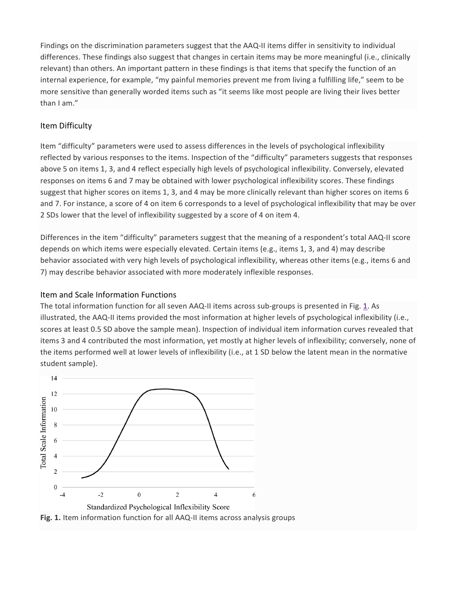Findings on the discrimination parameters suggest that the AAQ-II items differ in sensitivity to individual differences. These findings also suggest that changes in certain items may be more meaningful (i.e., clinically relevant) than others. An important pattern in these findings is that items that specify the function of an internal experience, for example, "my painful memories prevent me from living a fulfilling life," seem to be more sensitive than generally worded items such as "it seems like most people are living their lives better than I am."

#### Item Difficulty

Item "difficulty" parameters were used to assess differences in the levels of psychological inflexibility reflected by various responses to the items. Inspection of the "difficulty" parameters suggests that responses above 5 on items 1, 3, and 4 reflect especially high levels of psychological inflexibility. Conversely, elevated responses on items 6 and 7 may be obtained with lower psychological inflexibility scores. These findings suggest that higher scores on items 1, 3, and 4 may be more clinically relevant than higher scores on items 6 and 7. For instance, a score of 4 on item 6 corresponds to a level of psychological inflexibility that may be over 2 SDs lower that the level of inflexibility suggested by a score of 4 on item 4.

Differences in the item "difficulty" parameters suggest that the meaning of a respondent's total AAQ-II score depends on which items were especially elevated. Certain items (e.g., items 1, 3, and 4) may describe behavior associated with very high levels of psychological inflexibility, whereas other items (e.g., items 6 and 7) may describe behavior associated with more moderately inflexible responses.

#### Item and Scale Information Functions

The total information function for all seven AAQ-II items across sub-groups is presented in Fig. [1.](https://link.springer.com/article/10.1007%2Fs10862-018-9694-2#Fig1) As illustrated, the AAQ-II items provided the most information at higher levels of psychological inflexibility (i.e., scores at least 0.5 SD above the sample mean). Inspection of individual item information curves revealed that items 3 and 4 contributed the most information, yet mostly at higher levels of inflexibility; conversely, none of the items performed well at lower levels of inflexibility (i.e., at 1 SD below the latent mean in the normative student sample).

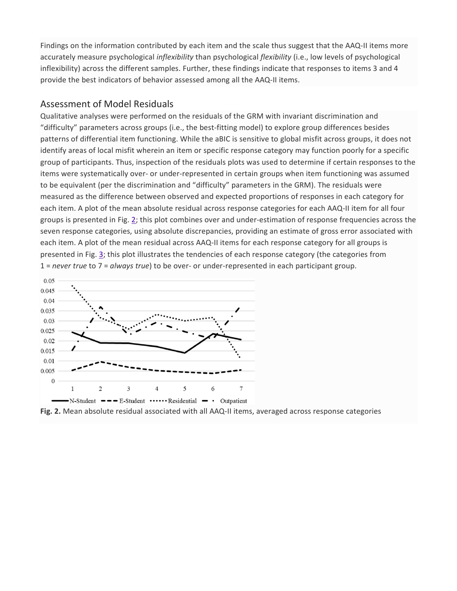Findings on the information contributed by each item and the scale thus suggest that the AAQ-II items more accurately measure psychological *inflexibility* than psychological *flexibility* (i.e., low levels of psychological inflexibility) across the different samples. Further, these findings indicate that responses to items 3 and 4 provide the best indicators of behavior assessed among all the AAQ-II items.

#### Assessment of Model Residuals

Qualitative analyses were performed on the residuals of the GRM with invariant discrimination and "difficulty" parameters across groups (i.e., the best-fitting model) to explore group differences besides patterns of differential item functioning. While the aBIC is sensitive to global misfit across groups, it does not identify areas of local misfit wherein an item or specific response category may function poorly for a specific group of participants. Thus, inspection of the residuals plots was used to determine if certain responses to the items were systematically over- or under-represented in certain groups when item functioning was assumed to be equivalent (per the discrimination and "difficulty" parameters in the GRM). The residuals were measured as the difference between observed and expected proportions of responses in each category for each item. A plot of the mean absolute residual across response categories for each AAQ-II item for all four groups is presented in Fig. [2;](https://link.springer.com/article/10.1007%2Fs10862-018-9694-2#Fig2) this plot combines over and under-estimation of response frequencies across the seven response categories, using absolute discrepancies, providing an estimate of gross error associated with each item. A plot of the mean residual across AAQ-II items for each response category for all groups is presented in Fig. [3;](https://link.springer.com/article/10.1007%2Fs10862-018-9694-2#Fig3) this plot illustrates the tendencies of each response category (the categories from 1 = *never true* to 7 = *always true*) to be over- or under-represented in each participant group.



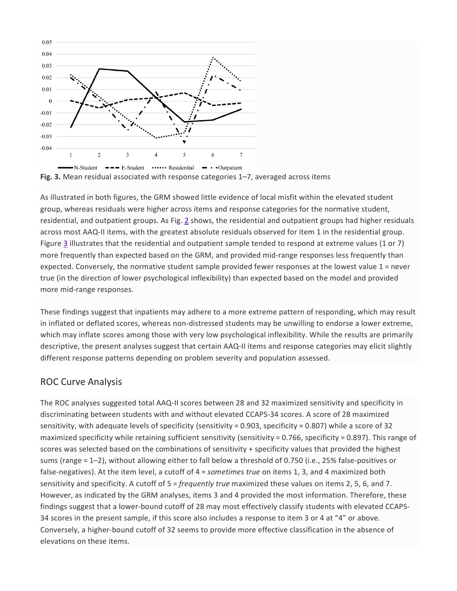

As illustrated in both figures, the GRM showed little evidence of local misfit within the elevated student group, whereas residuals were higher across items and response categories for the normative student, residential, and outpatient groups. As Fig. [2](https://link.springer.com/article/10.1007%2Fs10862-018-9694-2#Fig2) shows, the residential and outpatient groups had higher residuals across most AAQ-II items, with the greatest absolute residuals observed for item 1 in the residential group. Figure [3](https://link.springer.com/article/10.1007%2Fs10862-018-9694-2#Fig3) illustrates that the residential and outpatient sample tended to respond at extreme values (1 or 7) more frequently than expected based on the GRM, and provided mid-range responses less frequently than expected. Conversely, the normative student sample provided fewer responses at the lowest value 1 = never true (in the direction of lower psychological inflexibility) than expected based on the model and provided more mid-range responses.

These findings suggest that inpatients may adhere to a more extreme pattern of responding, which may result in inflated or deflated scores, whereas non-distressed students may be unwilling to endorse a lower extreme, which may inflate scores among those with very low psychological inflexibility. While the results are primarily descriptive, the present analyses suggest that certain AAQ-II items and response categories may elicit slightly different response patterns depending on problem severity and population assessed.

#### ROC Curve Analysis

The ROC analyses suggested total AAQ-II scores between 28 and 32 maximized sensitivity and specificity in discriminating between students with and without elevated CCAPS-34 scores. A score of 28 maximized sensitivity, with adequate levels of specificity (sensitivity = 0.903, specificity = 0.807) while a score of 32 maximized specificity while retaining sufficient sensitivity (sensitivity = 0.766, specificity = 0.897). This range of scores was selected based on the combinations of sensitivity + specificity values that provided the highest sums (range = 1–2), without allowing either to fall below a threshold of 0.750 (i.e., 25% false-positives or false-negatives). At the item level, a cutoff of 4 = *sometimes true* on items 1, 3, and 4 maximized both sensitivity and specificity. A cutoff of 5 = *frequently true* maximized these values on items 2, 5, 6, and 7. However, as indicated by the GRM analyses, items 3 and 4 provided the most information. Therefore, these findings suggest that a lower-bound cutoff of 28 may most effectively classify students with elevated CCAPS-34 scores in the present sample, if this score also includes a response to item 3 or 4 at "4" or above. Conversely, a higher-bound cutoff of 32 seems to provide more effective classification in the absence of elevations on these items.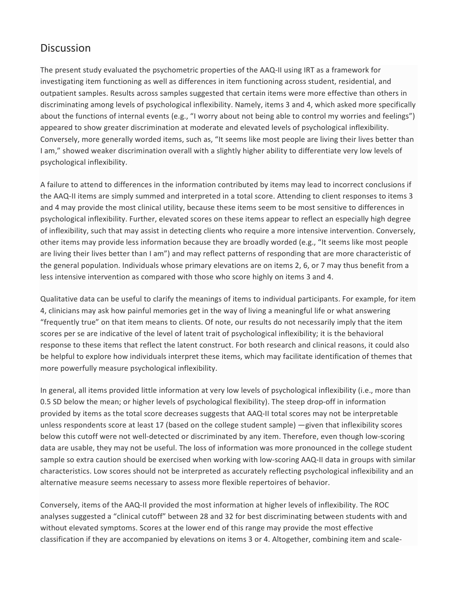# **Discussion**

The present study evaluated the psychometric properties of the AAQ-II using IRT as a framework for investigating item functioning as well as differences in item functioning across student, residential, and outpatient samples. Results across samples suggested that certain items were more effective than others in discriminating among levels of psychological inflexibility. Namely, items 3 and 4, which asked more specifically about the functions of internal events (e.g., "I worry about not being able to control my worries and feelings") appeared to show greater discrimination at moderate and elevated levels of psychological inflexibility. Conversely, more generally worded items, such as, "It seems like most people are living their lives better than I am," showed weaker discrimination overall with a slightly higher ability to differentiate very low levels of psychological inflexibility.

A failure to attend to differences in the information contributed by items may lead to incorrect conclusions if the AAQ-II items are simply summed and interpreted in a total score. Attending to client responses to items 3 and 4 may provide the most clinical utility, because these items seem to be most sensitive to differences in psychological inflexibility. Further, elevated scores on these items appear to reflect an especially high degree of inflexibility, such that may assist in detecting clients who require a more intensive intervention. Conversely, other items may provide less information because they are broadly worded (e.g., "It seems like most people are living their lives better than I am") and may reflect patterns of responding that are more characteristic of the general population. Individuals whose primary elevations are on items 2, 6, or 7 may thus benefit from a less intensive intervention as compared with those who score highly on items 3 and 4.

Qualitative data can be useful to clarify the meanings of items to individual participants. For example, for item 4, clinicians may ask how painful memories get in the way of living a meaningful life or what answering "frequently true" on that item means to clients. Of note, our results do not necessarily imply that the item scores per se are indicative of the level of latent trait of psychological inflexibility; it is the behavioral response to these items that reflect the latent construct. For both research and clinical reasons, it could also be helpful to explore how individuals interpret these items, which may facilitate identification of themes that more powerfully measure psychological inflexibility.

In general, all items provided little information at very low levels of psychological inflexibility (i.e., more than 0.5 SD below the mean; or higher levels of psychological flexibility). The steep drop-off in information provided by items as the total score decreases suggests that AAQ-II total scores may not be interpretable unless respondents score at least 17 (based on the college student sample) —given that inflexibility scores below this cutoff were not well-detected or discriminated by any item. Therefore, even though low-scoring data are usable, they may not be useful. The loss of information was more pronounced in the college student sample so extra caution should be exercised when working with low-scoring AAQ-II data in groups with similar characteristics. Low scores should not be interpreted as accurately reflecting psychological inflexibility and an alternative measure seems necessary to assess more flexible repertoires of behavior.

Conversely, items of the AAQ-II provided the most information at higher levels of inflexibility. The ROC analyses suggested a "clinical cutoff" between 28 and 32 for best discriminating between students with and without elevated symptoms. Scores at the lower end of this range may provide the most effective classification if they are accompanied by elevations on items 3 or 4. Altogether, combining item and scale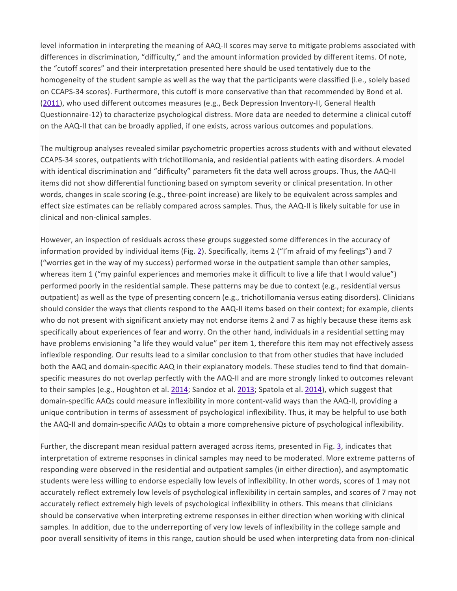level information in interpreting the meaning of AAQ-II scores may serve to mitigate problems associated with differences in discrimination, "difficulty," and the amount information provided by different items. Of note, the "cutoff scores" and their interpretation presented here should be used tentatively due to the homogeneity of the student sample as well as the way that the participants were classified (i.e., solely based on CCAPS-34 scores). Furthermore, this cutoff is more conservative than that recommended by Bond et al. [\(2011\)](https://link.springer.com/article/10.1007%2Fs10862-018-9694-2#CR2), who used different outcomes measures (e.g., Beck Depression Inventory-II, General Health Questionnaire-12) to characterize psychological distress. More data are needed to determine a clinical cutoff on the AAQ-II that can be broadly applied, if one exists, across various outcomes and populations.

The multigroup analyses revealed similar psychometric properties across students with and without elevated CCAPS-34 scores, outpatients with trichotillomania, and residential patients with eating disorders. A model with identical discrimination and "difficulty" parameters fit the data well across groups. Thus, the AAQ-II items did not show differential functioning based on symptom severity or clinical presentation. In other words, changes in scale scoring (e.g., three-point increase) are likely to be equivalent across samples and effect size estimates can be reliably compared across samples. Thus, the AAQ-II is likely suitable for use in clinical and non-clinical samples.

However, an inspection of residuals across these groups suggested some differences in the accuracy of information provided by individual items (Fig. [2\)](https://link.springer.com/article/10.1007%2Fs10862-018-9694-2#Fig2). Specifically, items 2 ("I'm afraid of my feelings") and 7 ("worries get in the way of my success) performed worse in the outpatient sample than other samples, whereas item 1 ("my painful experiences and memories make it difficult to live a life that I would value") performed poorly in the residential sample. These patterns may be due to context (e.g., residential versus outpatient) as well as the type of presenting concern (e.g., trichotillomania versus eating disorders). Clinicians should consider the ways that clients respond to the AAQ-II items based on their context; for example, clients who do not present with significant anxiety may not endorse items 2 and 7 as highly because these items ask specifically about experiences of fear and worry. On the other hand, individuals in a residential setting may have problems envisioning "a life they would value" per item 1, therefore this item may not effectively assess inflexible responding. Our results lead to a similar conclusion to that from other studies that have included both the AAQ and domain-specific AAQ in their explanatory models. These studies tend to find that domainspecific measures do not overlap perfectly with the AAQ-II and are more strongly linked to outcomes relevant to their samples (e.g., Houghton et al. [2014;](https://link.springer.com/article/10.1007%2Fs10862-018-9694-2#CR15) Sandoz et al. [2013;](https://link.springer.com/article/10.1007%2Fs10862-018-9694-2#CR27) Spatola et al. [2014\)](https://link.springer.com/article/10.1007%2Fs10862-018-9694-2#CR28), which suggest that domain-specific AAQs could measure inflexibility in more content-valid ways than the AAQ-II, providing a unique contribution in terms of assessment of psychological inflexibility. Thus, it may be helpful to use both the AAQ-II and domain-specific AAQs to obtain a more comprehensive picture of psychological inflexibility.

Further, the discrepant mean residual pattern averaged across items, presented in Fig. [3,](https://link.springer.com/article/10.1007%2Fs10862-018-9694-2#Fig3) indicates that interpretation of extreme responses in clinical samples may need to be moderated. More extreme patterns of responding were observed in the residential and outpatient samples (in either direction), and asymptomatic students were less willing to endorse especially low levels of inflexibility. In other words, scores of 1 may not accurately reflect extremely low levels of psychological inflexibility in certain samples, and scores of 7 may not accurately reflect extremely high levels of psychological inflexibility in others. This means that clinicians should be conservative when interpreting extreme responses in either direction when working with clinical samples. In addition, due to the underreporting of very low levels of inflexibility in the college sample and poor overall sensitivity of items in this range, caution should be used when interpreting data from non-clinical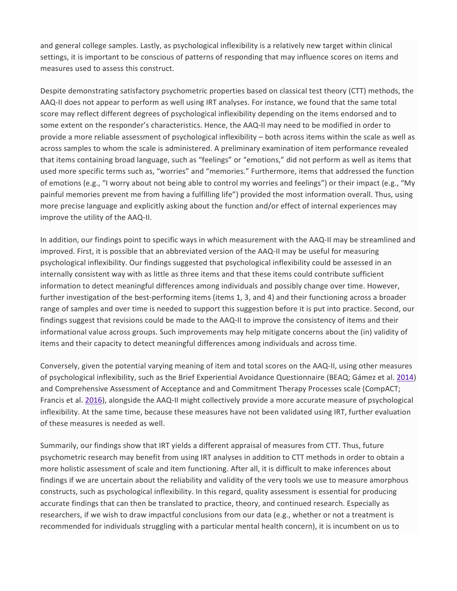and general college samples. Lastly, as psychological inflexibility is a relatively new target within clinical settings, it is important to be conscious of patterns of responding that may influence scores on items and measures used to assess this construct.

Despite demonstrating satisfactory psychometric properties based on classical test theory (CTT) methods, the AAQ-II does not appear to perform as well using IRT analyses. For instance, we found that the same total score may reflect different degrees of psychological inflexibility depending on the items endorsed and to some extent on the responder's characteristics. Hence, the AAQ-II may need to be modified in order to provide a more reliable assessment of psychological inflexibility – both across items within the scale as well as across samples to whom the scale is administered. A preliminary examination of item performance revealed that items containing broad language, such as "feelings" or "emotions," did not perform as well as items that used more specific terms such as, "worries" and "memories." Furthermore, items that addressed the function of emotions (e.g., "I worry about not being able to control my worries and feelings") or their impact (e.g., "My painful memories prevent me from having a fulfilling life") provided the most information overall. Thus, using more precise language and explicitly asking about the function and/or effect of internal experiences may improve the utility of the AAQ-II.

In addition, our findings point to specific ways in which measurement with the AAQ-II may be streamlined and improved. First, it is possible that an abbreviated version of the AAQ-II may be useful for measuring psychological inflexibility. Our findings suggested that psychological inflexibility could be assessed in an internally consistent way with as little as three items and that these items could contribute sufficient information to detect meaningful differences among individuals and possibly change over time. However, further investigation of the best-performing items (items 1, 3, and 4) and their functioning across a broader range of samples and over time is needed to support this suggestion before it is put into practice. Second, our findings suggest that revisions could be made to the AAQ-II to improve the consistency of items and their informational value across groups. Such improvements may help mitigate concerns about the (in) validity of items and their capacity to detect meaningful differences among individuals and across time.

Conversely, given the potential varying meaning of item and total scores on the AAQ-II, using other measures of psychological inflexibility, such as the Brief Experiential Avoidance Questionnaire (BEAQ; Gámez et al. [2014\)](https://link.springer.com/article/10.1007%2Fs10862-018-9694-2#CR8) and Comprehensive Assessment of Acceptance and and Commitment Therapy Processes scale (CompACT; Francis et al. [2016\)](https://link.springer.com/article/10.1007%2Fs10862-018-9694-2#CR6), alongside the AAQ-II might collectively provide a more accurate measure of psychological inflexibility. At the same time, because these measures have not been validated using IRT, further evaluation of these measures is needed as well.

Summarily, our findings show that IRT yields a different appraisal of measures from CTT. Thus, future psychometric research may benefit from using IRT analyses in addition to CTT methods in order to obtain a more holistic assessment of scale and item functioning. After all, it is difficult to make inferences about findings if we are uncertain about the reliability and validity of the very tools we use to measure amorphous constructs, such as psychological inflexibility. In this regard, quality assessment is essential for producing accurate findings that can then be translated to practice, theory, and continued research. Especially as researchers, if we wish to draw impactful conclusions from our data (e.g., whether or not a treatment is recommended for individuals struggling with a particular mental health concern), it is incumbent on us to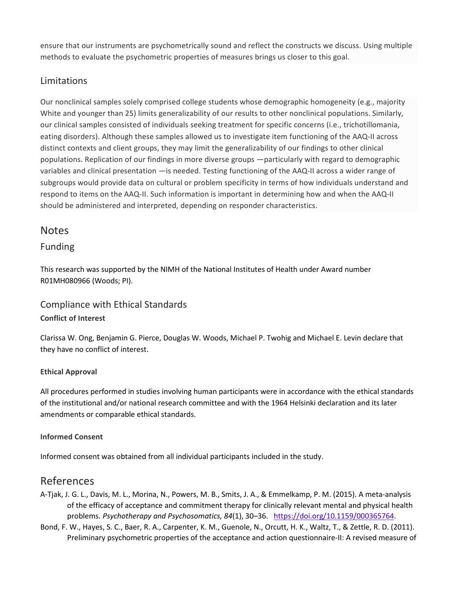ensure that our instruments are psychometrically sound and reflect the constructs we discuss. Using multiple methods to evaluate the psychometric properties of measures brings us closer to this goal.

## Limitations

Our nonclinical samples solely comprised college students whose demographic homogeneity (e.g., majority White and younger than 25) limits generalizability of our results to other nonclinical populations. Similarly, our clinical samples consisted of individuals seeking treatment for specific concerns (i.e., trichotillomania, eating disorders). Although these samples allowed us to investigate item functioning of the AAQ-II across distinct contexts and client groups, they may limit the generalizability of our findings to other clinical populations. Replication of our findings in more diverse groups —particularly with regard to demographic variables and clinical presentation —is needed. Testing functioning of the AAQ-II across a wider range of subgroups would provide data on cultural or problem specificity in terms of how individuals understand and respond to items on the AAQ-II. Such information is important in determining how and when the AAQ-II should be administered and interpreted, depending on responder characteristics.

## **Notes**

#### Funding

This research was supported by the NIMH of the National Institutes of Health under Award number R01MH080966 (Woods; PI).

#### Compliance with Ethical Standards **Conflict of Interest**

Clarissa W. Ong, Benjamin G. Pierce, Douglas W. Woods, Michael P. Twohig and Michael E. Levin declare that they have no conflict of interest.

#### **Ethical Approval**

All procedures performed in studies involving human participants were in accordance with the ethical standards of the institutional and/or national research committee and with the 1964 Helsinki declaration and its later amendments or comparable ethical standards.

#### **Informed Consent**

Informed consent was obtained from all individual participants included in the study.

## References

- A-Tjak, J. G. L., Davis, M. L., Morina, N., Powers, M. B., Smits, J. A., & Emmelkamp, P. M. (2015). A meta-analysis of the efficacy of acceptance and commitment therapy for clinically relevant mental and physical health problems. *Psychotherapy and Psychosomatics, 84*(1), 30–36. [https://doi.org/10.1159/000365764.](https://doi.org/10.1159/000365764)
- Bond, F. W., Hayes, S. C., Baer, R. A., Carpenter, K. M., Guenole, N., Orcutt, H. K., Waltz, T., & Zettle, R. D. (2011). Preliminary psychometric properties of the acceptance and action questionnaire-II: A revised measure of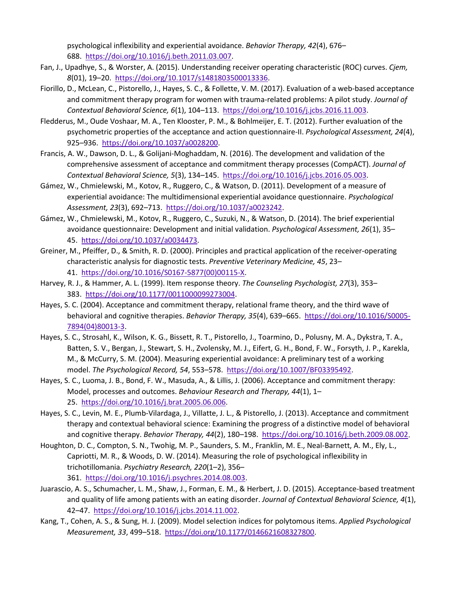psychological inflexibility and experiential avoidance. *Behavior Therapy, 42*(4), 676– 688. [https://doi.org/10.1016/j.beth.2011.03.007.](https://doi.org/10.1016/j.beth.2011.03.007)

- Fan, J., Upadhye, S., & Worster, A. (2015). Understanding receiver operating characteristic (ROC) curves. *Cjem, 8*(01), 19–20. [https://doi.org/10.1017/s1481803500013336.](https://doi.org/10.1017/s1481803500013336)
- Fiorillo, D., McLean, C., Pistorello, J., Hayes, S. C., & Follette, V. M. (2017). Evaluation of a web-based acceptance and commitment therapy program for women with trauma-related problems: A pilot study. *Journal of Contextual Behavioral Science, 6*(1), 104–113. [https://doi.org/10.1016/j.jcbs.2016.11.003.](https://doi.org/10.1016/j.jcbs.2016.11.003)
- Fledderus, M., Oude Voshaar, M. A., Ten Klooster, P. M., & Bohlmeijer, E. T. (2012). Further evaluation of the psychometric properties of the acceptance and action questionnaire-II. *Psychological Assessment, 24*(4), 925–936. [https://doi.org/10.1037/a0028200.](https://doi.org/10.1037/a0028200)
- Francis, A. W., Dawson, D. L., & Golijani-Moghaddam, N. (2016). The development and validation of the comprehensive assessment of acceptance and commitment therapy processes (CompACT). *Journal of Contextual Behavioral Science, 5*(3), 134–145. [https://doi.org/10.1016/j.jcbs.2016.05.003.](https://doi.org/10.1016/j.jcbs.2016.05.003)
- Gámez, W., Chmielewski, M., Kotov, R., Ruggero, C., & Watson, D. (2011). Development of a measure of experiential avoidance: The multidimensional experiential avoidance questionnaire. *Psychological Assessment, 23*(3), 692–713. [https://doi.org/10.1037/a0023242.](https://doi.org/10.1037/a0023242)
- Gámez, W., Chmielewski, M., Kotov, R., Ruggero, C., Suzuki, N., & Watson, D. (2014). The brief experiential avoidance questionnaire: Development and initial validation. *Psychological Assessment, 26*(1), 35– 45. [https://doi.org/10.1037/a0034473.](https://doi.org/10.1037/a0034473)
- Greiner, M., Pfeiffer, D., & Smith, R. D. (2000). Principles and practical application of the receiver-operating characteristic analysis for diagnostic tests. *Preventive Veterinary Medicine, 45*, 23– 41. [https://doi.org/10.1016/S0167-5877\(00\)00115-X.](https://doi.org/10.1016/S0167-5877(00)00115-X)
- Harvey, R. J., & Hammer, A. L. (1999). Item response theory. *The Counseling Psychologist, 27*(3), 353– 383. [https://doi.org/10.1177/0011000099273004.](https://doi.org/10.1177/0011000099273004)
- Hayes, S. C. (2004). Acceptance and commitment therapy, relational frame theory, and the third wave of behavioral and cognitive therapies. *Behavior Therapy, 35*(4), 639-665. [https://doi.org/10.1016/S0005-](https://doi.org/10.1016/S0005-7894(04)80013-3) [7894\(04\)80013-3.](https://doi.org/10.1016/S0005-7894(04)80013-3)
- Hayes, S. C., Strosahl, K., Wilson, K. G., Bissett, R. T., Pistorello, J., Toarmino, D., Polusny, M. A., Dykstra, T. A., Batten, S. V., Bergan, J., Stewart, S. H., Zvolensky, M. J., Eifert, G. H., Bond, F. W., Forsyth, J. P., Karekla, M., & McCurry, S. M. (2004). Measuring experiential avoidance: A preliminary test of a working model. *The Psychological Record, 54*, 553–578. [https://doi.org/10.1007/BF03395492.](https://doi.org/10.1007/BF03395492)
- Hayes, S. C., Luoma, J. B., Bond, F. W., Masuda, A., & Lillis, J. (2006). Acceptance and commitment therapy: Model, processes and outcomes. *Behaviour Research and Therapy, 44*(1), 1– 25. [https://doi.org/10.1016/j.brat.2005.06.006.](https://doi.org/10.1016/j.brat.2005.06.006)
- Hayes, S. C., Levin, M. E., Plumb-Vilardaga, J., Villatte, J. L., & Pistorello, J. (2013). Acceptance and commitment therapy and contextual behavioral science: Examining the progress of a distinctive model of behavioral and cognitive therapy. *Behavior Therapy, 44*(2), 180–198. [https://doi.org/10.1016/j.beth.2009.08.002.](https://doi.org/10.1016/j.beth.2009.08.002)
- Houghton, D. C., Compton, S. N., Twohig, M. P., Saunders, S. M., Franklin, M. E., Neal-Barnett, A. M., Ely, L., Capriotti, M. R., & Woods, D. W. (2014). Measuring the role of psychological inflexibility in trichotillomania. *Psychiatry Research, 220*(1–2), 356– 361. [https://doi.org/10.1016/j.psychres.2014.08.003.](https://doi.org/10.1016/j.psychres.2014.08.003)
- Juarascio, A. S., Schumacher, L. M., Shaw, J., Forman, E. M., & Herbert, J. D. (2015). Acceptance-based treatment and quality of life among patients with an eating disorder. *Journal of Contextual Behavioral Science, 4*(1), 42–47. [https://doi.org/10.1016/j.jcbs.2014.11.002.](https://doi.org/10.1016/j.jcbs.2014.11.002)
- Kang, T., Cohen, A. S., & Sung, H. J. (2009). Model selection indices for polytomous items. *Applied Psychological Measurement, 33*, 499–518. [https://doi.org/10.1177/0146621608327800.](https://doi.org/10.1177/0146621608327800)